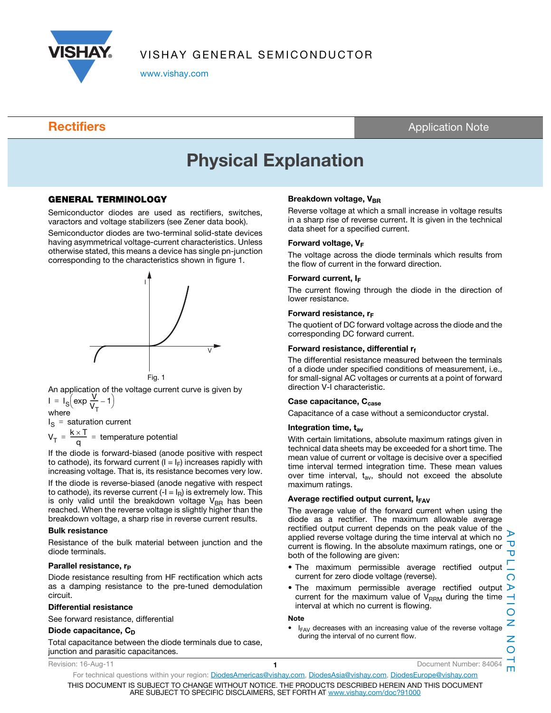

www.vishay.com

**Rectifiers** Application Note

# Physical Explanation

### GENERAL TERMINOLOGY

Semiconductor diodes are used as rectifiers, switches, varactors and voltage stabilizers (see Zener data book).

Semiconductor diodes are two-terminal solid-state devices having asymmetrical voltage-current characteristics. Unless otherwise stated, this means a device has single pn-junction corresponding to the characteristics shown in figure 1.



An application of the voltage current curve is given by  $I = I_S (exp \frac{V}{V_S})$ =  $I_S$  $\left(\exp \frac{V}{V_T} - 1\right)$ 

where

I<sub>S</sub> = saturation current

$$
V_T = \frac{k \times T}{q}
$$
 = temperature potential

If the diode is forward-biased (anode positive with respect to cathode), its forward current  $(I = I_F)$  increases rapidly with increasing voltage. That is, its resistance becomes very low.

If the diode is reverse-biased (anode negative with respect to cathode), its reverse current  $(-I = I_R)$  is extremely low. This is only valid until the breakdown voltage  $V_{BR}$  has been reached. When the reverse voltage is slightly higher than the breakdown voltage, a sharp rise in reverse current results.

#### Bulk resistance

Resistance of the bulk material between junction and the diode terminals.

#### Parallel resistance, r<sub>p</sub>

Diode resistance resulting from HF rectification which acts as a damping resistance to the pre-tuned demodulation circuit.

#### Differential resistance

See forward resistance, differential

#### Diode capacitance,  $C_D$

Total capacitance between the diode terminals due to case, junction and parasitic capacitances.

#### Breakdown voltage, VBR

Reverse voltage at which a small increase in voltage results in a sharp rise of reverse current. It is given in the technical data sheet for a specified current.

#### Forward voltage, VF

The voltage across the diode terminals which results from the flow of current in the forward direction.

#### Forward current, I<sub>F</sub>

The current flowing through the diode in the direction of lower resistance.

#### Forward resistance,  $r_F$

The quotient of DC forward voltage across the diode and the corresponding DC forward current.

#### Forward resistance, differential  $r_f$

The differential resistance measured between the terminals of a diode under specified conditions of measurement, i.e., for small-signal AC voltages or currents at a point of forward direction V-I characteristic.

#### Case capacitance, C<sub>case</sub>

Capacitance of a case without a semiconductor crystal.

#### Integration time,  $t_{av}$

With certain limitations, absolute maximum ratings given in technical data sheets may be exceeded for a short time. The mean value of current or voltage is decisive over a specified time interval termed integration time. These mean values over time interval,  $t_{av}$ , should not exceed the absolute maximum ratings.

#### Average rectified output current,  $I_{FAV}$

The average value of the forward current when using the diode as a rectifier. The maximum allowable average rectified output current depends on the peak value of the  $\mathbf{p}$ applied reverse voltage during the time interval at which no Δ current is flowing. In the absolute maximum ratings, one or both of the following are given:

- The maximum permissible average rectified output current for zero diode voltage (reverse).
- The maximum permissible average rectified output D current for the maximum value of  $V_{RRM}$  during the time interval at which no current is flowing.

#### Note

I<sub>FAV</sub> decreases with an increasing value of the reverse voltage during the interval of no current flow.

For technical questions within your region: DiodesAmericas@vishay.com, DiodesAsia@vishay.com, DiodesEurope@vishay.com THIS DOCUMENT IS SUBJECT TO CHANGE WITHOUT NOTICE. THE PRODUCTS DESCRIBED HEREIN AND THIS DOCUMENT ARE SUBJECT TO SPECIFIC DISCLAIMERS, SET FORTH AT www.vishay.com/doc?91000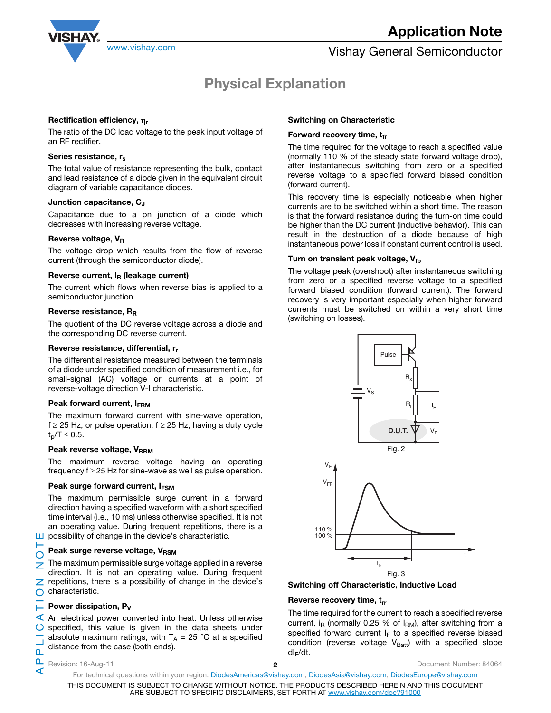

### www.vishay.com **Vishay General Semiconductor** Vishay General Semiconductor

## Physical Explanation

#### Rectification efficiency,  $\eta_r$

The ratio of the DC load voltage to the peak input voltage of an RF rectifier.

#### Series resistance, rs

The total value of resistance representing the bulk, contact and lead resistance of a diode given in the equivalent circuit diagram of variable capacitance diodes.

#### Junction capacitance, CJ

Capacitance due to a pn junction of a diode which decreases with increasing reverse voltage.

#### Reverse voltage,  $V_R$

The voltage drop which results from the flow of reverse current (through the semiconductor diode).

#### Reverse current,  $I_R$  (leakage current)

The current which flows when reverse bias is applied to a semiconductor junction.

#### Reverse resistance, R<sub>R</sub>

The quotient of the DC reverse voltage across a diode and the corresponding DC reverse current.

#### Reverse resistance, differential, r<sub>r</sub>

The differential resistance measured between the terminals of a diode under specified condition of measurement i.e., for small-signal (AC) voltage or currents at a point of reverse-voltage direction V-I characteristic.

#### Peak forward current, IFRM

The maximum forward current with sine-wave operation,  $f \ge 25$  Hz, or pulse operation,  $f \ge 25$  Hz, having a duty cycle  $t_p/T \le 0.5$ .

#### Peak reverse voltage, VRRM

The maximum reverse voltage having an operating frequency  $f \geq 25$  Hz for sine-wave as well as pulse operation.

#### Peak surge forward current, IFSM

The maximum permissible surge current in a forward direction having a specified waveform with a short specified time interval (i.e., 10 ms) unless otherwise specified. It is not an operating value. During frequent repetitions, there is a  $\Box$  possibility of change in the device's characteristic.

#### Peak surge reverse voltage,  $V_{\text{RSM}}$

 $\bigcirc$ The maximum permissible surge voltage applied in a reverse Z direction. It is not an operating value. During frequent  $\mathbb Z$  repetitions, there is a possibility of change in the device's characteristic.

#### Power dissipation, P<sub>V</sub>

 $\blacktriangleleft$  An electrical power converted into heat. Unless otherwise specified, this value is given in the data sheets under absolute maximum ratings, with  $T_A = 25$  °C at a specified distance from the case (both ends).

Revision: 16-Aug-11 2 Document Number: 84064

#### Switching on Characteristic

#### Forward recovery time,  $t_{fr}$

The time required for the voltage to reach a specified value (normally 110 % of the steady state forward voltage drop), after instantaneous switching from zero or a specified reverse voltage to a specified forward biased condition (forward current).

This recovery time is especially noticeable when higher currents are to be switched within a short time. The reason is that the forward resistance during the turn-on time could be higher than the DC current (inductive behavior). This can result in the destruction of a diode because of high instantaneous power loss if constant current control is used.

#### Turn on transient peak voltage,  $V_{\text{fp}}$

The voltage peak (overshoot) after instantaneous switching from zero or a specified reverse voltage to a specified forward biased condition (forward current). The forward recovery is very important especially when higher forward currents must be switched on within a very short time (switching on losses).



#### Switching off Characteristic, Inductive Load

#### Reverse recovery time,  $t_{rr}$

The time required for the current to reach a specified reverse current, i<sub>R</sub> (normally 0.25 % of  $I_{RM}$ ), after switching from a specified forward current  $I_F$  to a specified reverse biased condition (reverse voltage  $V_{Batt}$ ) with a specified slope  $dl_F/dt$ .

For technical questions within your region: DiodesAmericas@vishay.com, DiodesAsia@vishay.com, DiodesEurope@vishay.com THIS DOCUMENT IS SUBJECT TO CHANGE WITHOUT NOTICE. THE PRODUCTS DESCRIBED HEREIN AND THIS DOCUMENT ARE SUBJECT TO SPECIFIC DISCLAIMERS, SET FORTH AT www.vishay.com/doc?91000

Е